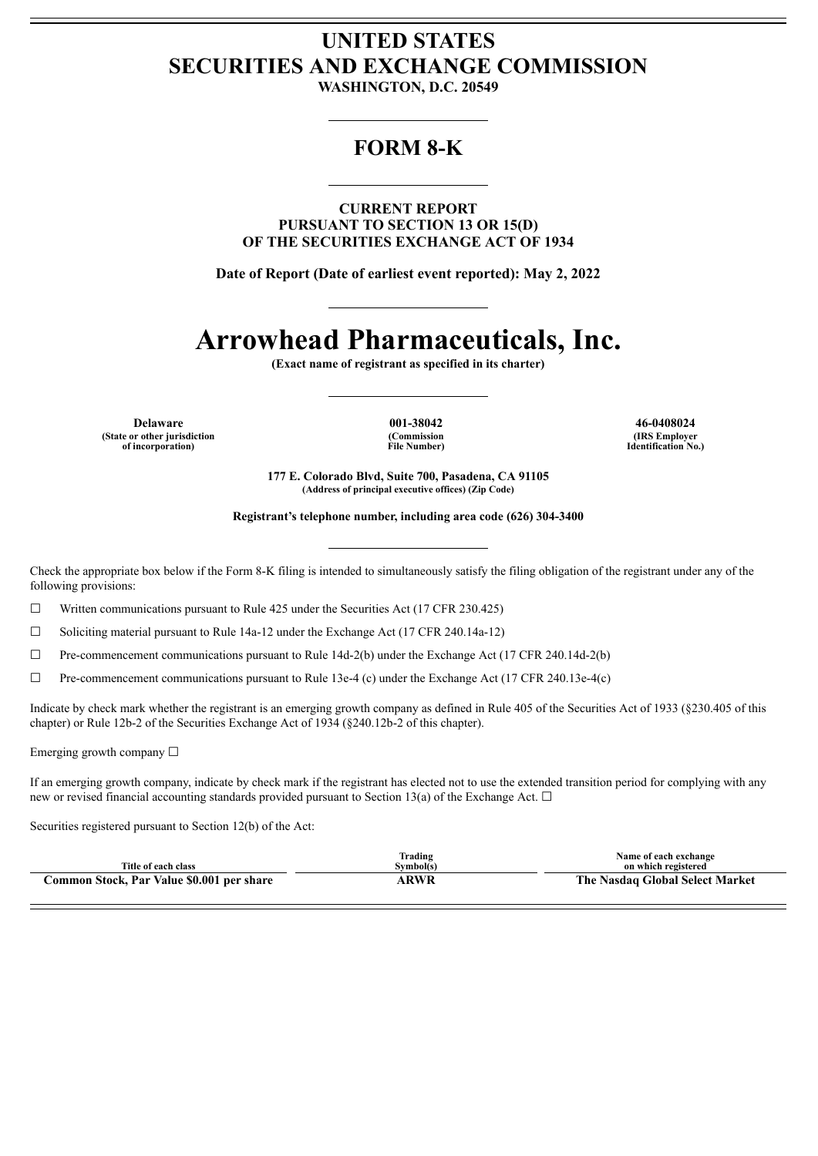# **UNITED STATES SECURITIES AND EXCHANGE COMMISSION**

**WASHINGTON, D.C. 20549**

# **FORM 8-K**

**CURRENT REPORT PURSUANT TO SECTION 13 OR 15(D) OF THE SECURITIES EXCHANGE ACT OF 1934**

**Date of Report (Date of earliest event reported): May 2, 2022**

# **Arrowhead Pharmaceuticals, Inc.**

**(Exact name of registrant as specified in its charter)**

**Delaware 001-38042 46-0408024 (State or other jurisdiction of incorporation)**

**(Commission File Number)**

**(IRS Employer Identification No.)**

**177 E. Colorado Blvd, Suite 700, Pasadena, CA 91105 (Address of principal executive offices) (Zip Code)**

**Registrant's telephone number, including area code (626) 304-3400**

Check the appropriate box below if the Form 8-K filing is intended to simultaneously satisfy the filing obligation of the registrant under any of the following provisions:

☐ Written communications pursuant to Rule 425 under the Securities Act (17 CFR 230.425)

 $\Box$  Soliciting material pursuant to Rule 14a-12 under the Exchange Act (17 CFR 240.14a-12)

☐ Pre-commencement communications pursuant to Rule 14d-2(b) under the Exchange Act (17 CFR 240.14d-2(b)

 $\Box$  Pre-commencement communications pursuant to Rule 13e-4 (c) under the Exchange Act (17 CFR 240.13e-4(c)

Indicate by check mark whether the registrant is an emerging growth company as defined in Rule 405 of the Securities Act of 1933 (§230.405 of this chapter) or Rule 12b-2 of the Securities Exchange Act of 1934 (§240.12b-2 of this chapter).

Emerging growth company  $\Box$ 

If an emerging growth company, indicate by check mark if the registrant has elected not to use the extended transition period for complying with any new or revised financial accounting standards provided pursuant to Section 13(a) of the Exchange Act.  $\Box$ 

Securities registered pursuant to Section 12(b) of the Act:

| Title of each class                       | Trading<br>Symbol(s) | Name of each exchange<br>on which registered |
|-------------------------------------------|----------------------|----------------------------------------------|
| Common Stock, Par Value \$0.001 per share | 4 RWR                | The Nasdaq Global Select Market              |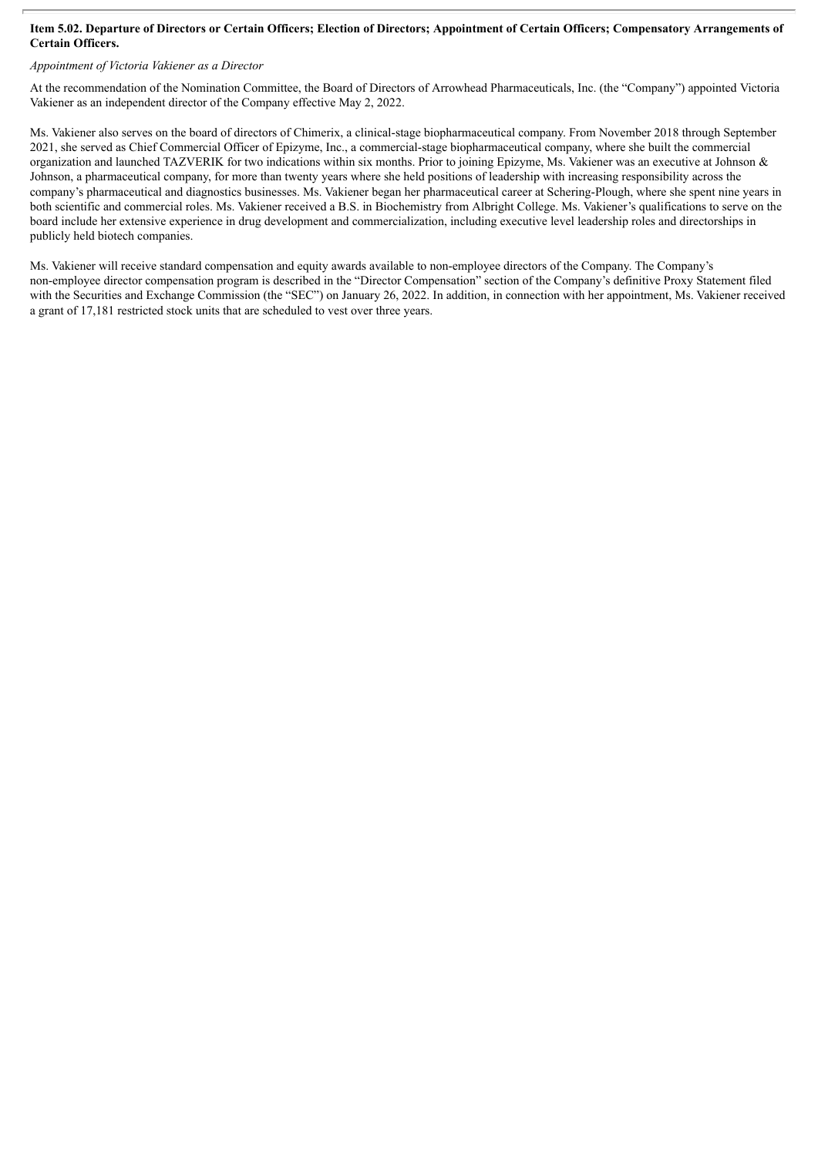#### Item 5.02. Departure of Directors or Certain Officers; Election of Directors; Appointment of Certain Officers; Compensatory Arrangements of **Certain Officers.**

### *Appointment of Victoria Vakiener as a Director*

At the recommendation of the Nomination Committee, the Board of Directors of Arrowhead Pharmaceuticals, Inc. (the "Company") appointed Victoria Vakiener as an independent director of the Company effective May 2, 2022.

Ms. Vakiener also serves on the board of directors of Chimerix, a clinical-stage biopharmaceutical company. From November 2018 through September 2021, she served as Chief Commercial Officer of Epizyme, Inc., a commercial-stage biopharmaceutical company, where she built the commercial organization and launched TAZVERIK for two indications within six months. Prior to joining Epizyme, Ms. Vakiener was an executive at Johnson & Johnson, a pharmaceutical company, for more than twenty years where she held positions of leadership with increasing responsibility across the company's pharmaceutical and diagnostics businesses. Ms. Vakiener began her pharmaceutical career at Schering-Plough, where she spent nine years in both scientific and commercial roles. Ms. Vakiener received a B.S. in Biochemistry from Albright College. Ms. Vakiener's qualifications to serve on the board include her extensive experience in drug development and commercialization, including executive level leadership roles and directorships in publicly held biotech companies.

Ms. Vakiener will receive standard compensation and equity awards available to non-employee directors of the Company. The Company's non-employee director compensation program is described in the "Director Compensation" section of the Company's definitive Proxy Statement filed with the Securities and Exchange Commission (the "SEC") on January 26, 2022. In addition, in connection with her appointment, Ms. Vakiener received a grant of 17,181 restricted stock units that are scheduled to vest over three years.